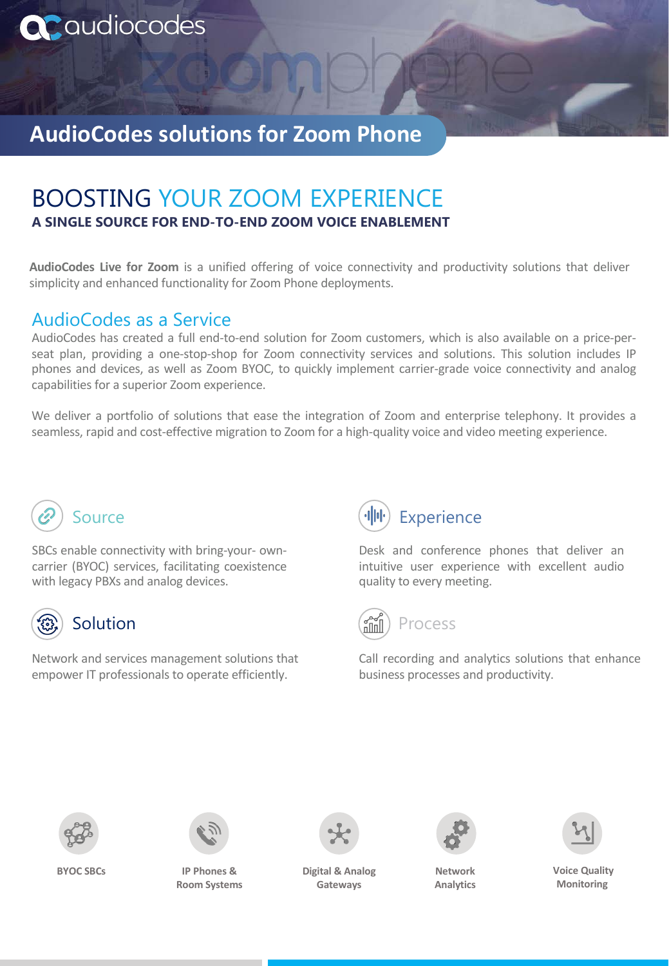

# **AudioCodes solutions for Zoom Phone**

## BOOSTING YOUR ZOOM EXPERIENCE **A SINGLE SOURCE FOR END-TO-END ZOOM VOICE ENABLEMENT**

**AudioCodes Live for Zoom** is a unified offering of voice connectivity and productivity solutions that deliver simplicity and enhanced functionality for Zoom Phone deployments.

### AudioCodes as a Service

AudioCodes has created a full end-to-end solution for Zoom customers, which is also available on a price-perseat plan, providing a one-stop-shop for Zoom connectivity services and solutions. This solution includes IP phones and devices, as well as Zoom BYOC, to quickly implement carrier-grade voice connectivity and analog capabilities for a superior Zoom experience.

We deliver a portfolio of solutions that ease the integration of Zoom and enterprise telephony. It provides a seamless, rapid and cost-effective migration to Zoom for a high-quality voice and video meeting experience.



SBCs enable connectivity with bring-your- owncarrier (BYOC) services, facilitating coexistence with legacy PBXs and analog devices.



#### Solution

Network and services management solutions that empower IT professionals to operate efficiently.



Desk and conference phones that deliver an intuitive user experience with excellent audio quality to every meeting.



Call recording and analytics solutions that enhance business processes and productivity.





**BYOC SBCs IP Phones & Room Systems**



**Digital & Analog Gateways**



**Network Analytics** 



**Voice Quality Monitoring**